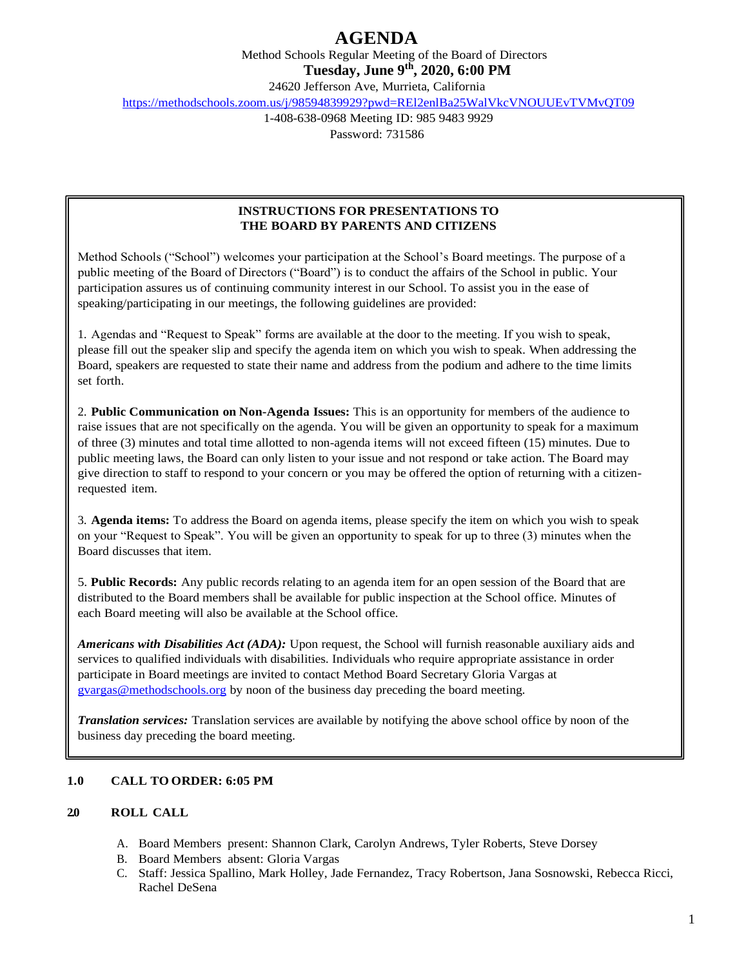Method Schools Regular Meeting of the Board of Directors

**Tuesday, June 9th, 2020, 6:00 PM**

24620 Jefferson Ave, Murrieta, California

<https://methodschools.zoom.us/j/98594839929?pwd=REl2enlBa25WalVkcVNOUUEvTVMvQT09>

1-408-638-0968 Meeting ID: 985 9483 9929 Password: 731586

### **INSTRUCTIONS FOR PRESENTATIONS TO THE BOARD BY PARENTS AND CITIZENS**

Method Schools ("School") welcomes your participation at the School's Board meetings. The purpose of a public meeting of the Board of Directors ("Board") is to conduct the affairs of the School in public. Your participation assures us of continuing community interest in our School. To assist you in the ease of speaking/participating in our meetings, the following guidelines are provided:

1. Agendas and "Request to Speak" forms are available at the door to the meeting. If you wish to speak, please fill out the speaker slip and specify the agenda item on which you wish to speak. When addressing the Board, speakers are requested to state their name and address from the podium and adhere to the time limits set forth.

2. **Public Communication on Non-Agenda Issues:** This is an opportunity for members of the audience to raise issues that are not specifically on the agenda. You will be given an opportunity to speak for a maximum of three (3) minutes and total time allotted to non-agenda items will not exceed fifteen (15) minutes. Due to public meeting laws, the Board can only listen to your issue and not respond or take action. The Board may give direction to staff to respond to your concern or you may be offered the option of returning with a citizenrequested item.

3. **Agenda items:** To address the Board on agenda items, please specify the item on which you wish to speak on your "Request to Speak". You will be given an opportunity to speak for up to three (3) minutes when the Board discusses that item.

5. **Public Records:** Any public records relating to an agenda item for an open session of the Board that are distributed to the Board members shall be available for public inspection at the School office. Minutes of each Board meeting will also be available at the School office.

*Americans with Disabilities Act (ADA):* Upon request, the School will furnish reasonable auxiliary aids and services to qualified individuals with disabilities. Individuals who require appropriate assistance in order participate in Board meetings are invited to contact Method Board Secretary Gloria Vargas at [gvargas@methodschools.org](mailto:gvargas@methodschools.org) by noon of the business day preceding the board meeting.

*Translation services:* Translation services are available by notifying the above school office by noon of the business day preceding the board meeting.

### **1.0 CALL TO ORDER: 6:05 PM**

### **2.0 ROLL CALL**

- A. Board Members present: Shannon Clark, Carolyn Andrews, Tyler Roberts, Steve Dorsey
- B. Board Members absent: Gloria Vargas
- C. Staff: Jessica Spallino, Mark Holley, Jade Fernandez, Tracy Robertson, Jana Sosnowski, Rebecca Ricci, Rachel DeSena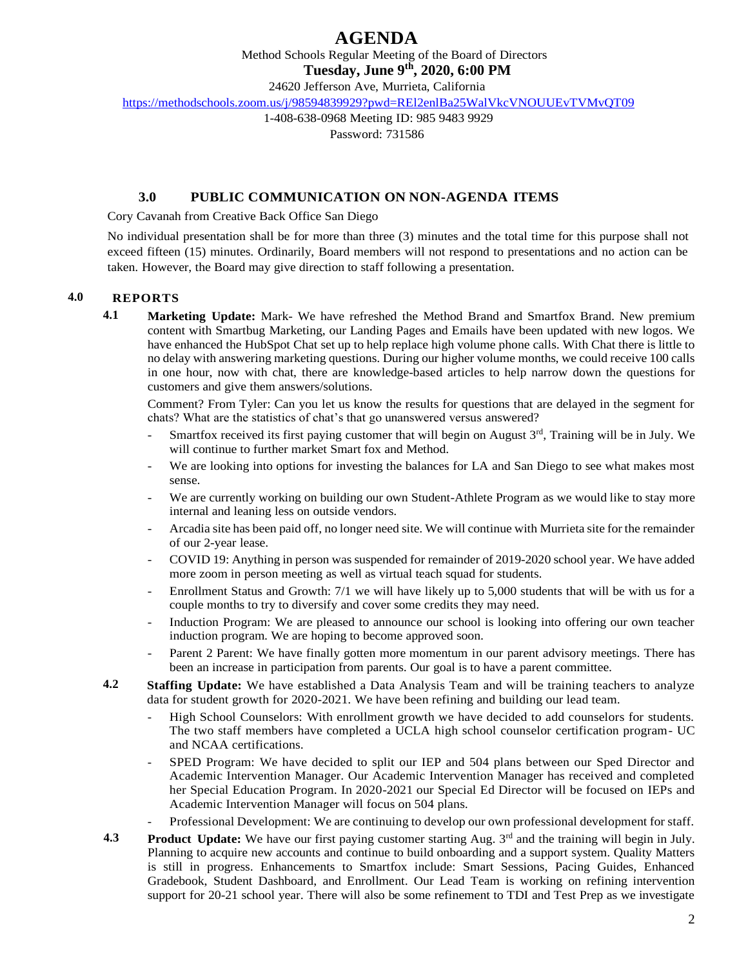Method Schools Regular Meeting of the Board of Directors

**Tuesday, June 9th, 2020, 6:00 PM**

24620 Jefferson Ave, Murrieta, California

<https://methodschools.zoom.us/j/98594839929?pwd=REl2enlBa25WalVkcVNOUUEvTVMvQT09>

1-408-638-0968 Meeting ID: 985 9483 9929

Password: 731586

### **3.0 PUBLIC COMMUNICATION ON NON-AGENDA ITEMS**

Cory Cavanah from Creative Back Office San Diego

No individual presentation shall be for more than three (3) minutes and the total time for this purpose shall not exceed fifteen (15) minutes. Ordinarily, Board members will not respond to presentations and no action can be taken. However, the Board may give direction to staff following a presentation.

### **4.0 REPORTS**

**4.1 Marketing Update:** Mark- We have refreshed the Method Brand and Smartfox Brand. New premium content with Smartbug Marketing, our Landing Pages and Emails have been updated with new logos. We have enhanced the HubSpot Chat set up to help replace high volume phone calls. With Chat there is little to no delay with answering marketing questions. During our higher volume months, we could receive 100 calls in one hour, now with chat, there are knowledge-based articles to help narrow down the questions for customers and give them answers/solutions.

Comment? From Tyler: Can you let us know the results for questions that are delayed in the segment for chats? What are the statistics of chat's that go unanswered versus answered?

- Smartfox received its first paying customer that will begin on August 3<sup>rd</sup>, Training will be in July. We will continue to further market Smart fox and Method.
- We are looking into options for investing the balances for LA and San Diego to see what makes most sense.
- We are currently working on building our own Student-Athlete Program as we would like to stay more internal and leaning less on outside vendors.
- Arcadia site has been paid off, no longer need site. We will continue with Murrieta site for the remainder of our 2-year lease.
- COVID 19: Anything in person was suspended for remainder of 2019-2020 school year. We have added more zoom in person meeting as well as virtual teach squad for students.
- Enrollment Status and Growth: 7/1 we will have likely up to 5,000 students that will be with us for a couple months to try to diversify and cover some credits they may need.
- Induction Program: We are pleased to announce our school is looking into offering our own teacher induction program. We are hoping to become approved soon.
- Parent 2 Parent: We have finally gotten more momentum in our parent advisory meetings. There has been an increase in participation from parents. Our goal is to have a parent committee.
- **4.2 Staffing Update:** We have established a Data Analysis Team and will be training teachers to analyze data for student growth for 2020-2021. We have been refining and building our lead team.
	- High School Counselors: With enrollment growth we have decided to add counselors for students. The two staff members have completed a UCLA high school counselor certification program- UC and NCAA certifications.
	- SPED Program: We have decided to split our IEP and 504 plans between our Sped Director and Academic Intervention Manager. Our Academic Intervention Manager has received and completed her Special Education Program. In 2020-2021 our Special Ed Director will be focused on IEPs and Academic Intervention Manager will focus on 504 plans.
	- Professional Development: We are continuing to develop our own professional development for staff.
- **4.3 Product Update:** We have our first paying customer starting Aug. 3<sup>rd</sup> and the training will begin in July. Planning to acquire new accounts and continue to build onboarding and a support system. Quality Matters is still in progress. Enhancements to Smartfox include: Smart Sessions, Pacing Guides, Enhanced Gradebook, Student Dashboard, and Enrollment. Our Lead Team is working on refining intervention support for 20-21 school year. There will also be some refinement to TDI and Test Prep as we investigate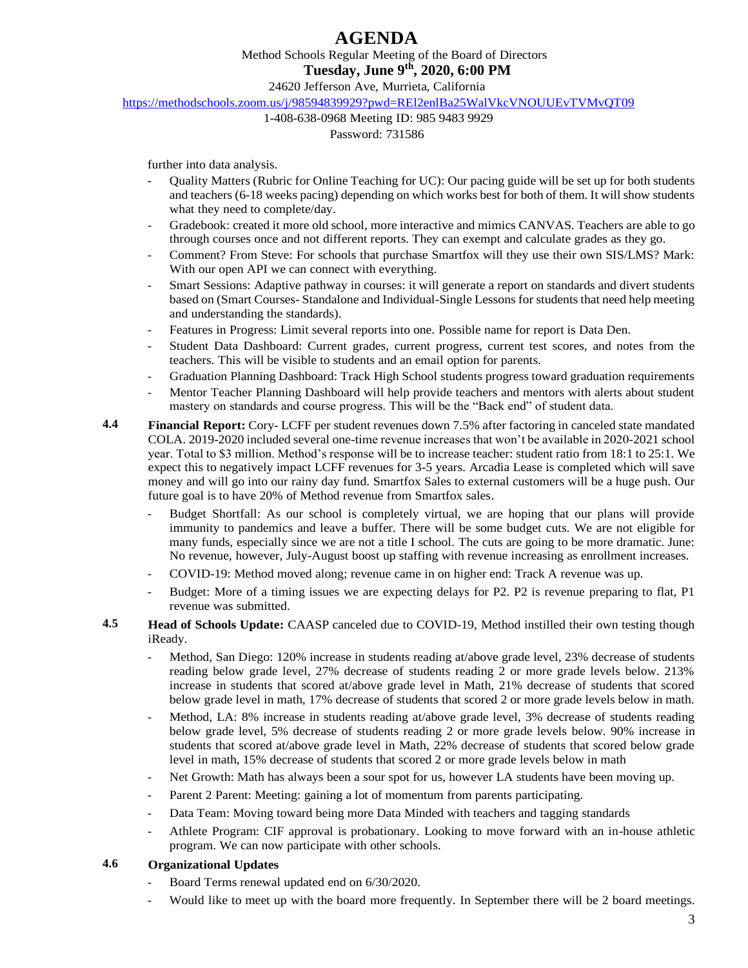Method Schools Regular Meeting of the Board of Directors

**Tuesday, June 9th, 2020, 6:00 PM**

24620 Jefferson Ave, Murrieta, California

<https://methodschools.zoom.us/j/98594839929?pwd=REl2enlBa25WalVkcVNOUUEvTVMvQT09>

## 1-408-638-0968 Meeting ID: 985 9483 9929

Password: 731586

further into data analysis.

- Quality Matters (Rubric for Online Teaching for UC): Our pacing guide will be set up for both students and teachers (6-18 weeks pacing) depending on which works best for both of them. It will show students what they need to complete/day.
- Gradebook: created it more old school, more interactive and mimics CANVAS. Teachers are able to go through courses once and not different reports. They can exempt and calculate grades as they go.
- Comment? From Steve: For schools that purchase Smartfox will they use their own SIS/LMS? Mark: With our open API we can connect with everything.
- Smart Sessions: Adaptive pathway in courses: it will generate a report on standards and divert students based on (Smart Courses- Standalone and Individual-Single Lessons for students that need help meeting and understanding the standards).
- Features in Progress: Limit several reports into one. Possible name for report is Data Den.
- Student Data Dashboard: Current grades, current progress, current test scores, and notes from the teachers. This will be visible to students and an email option for parents.
- Graduation Planning Dashboard: Track High School students progress toward graduation requirements
- Mentor Teacher Planning Dashboard will help provide teachers and mentors with alerts about student mastery on standards and course progress. This will be the "Back end" of student data.
- **4.4 Financial Report:** Cory- LCFF per student revenues down 7.5% after factoring in canceled state mandated COLA. 2019-2020 included several one-time revenue increases that won't be available in 2020-2021 school year. Total to \$3 million. Method's response will be to increase teacher: student ratio from 18:1 to 25:1. We expect this to negatively impact LCFF revenues for 3-5 years. Arcadia Lease is completed which will save money and will go into our rainy day fund. Smartfox Sales to external customers will be a huge push. Our future goal is to have 20% of Method revenue from Smartfox sales.
	- Budget Shortfall: As our school is completely virtual, we are hoping that our plans will provide immunity to pandemics and leave a buffer. There will be some budget cuts. We are not eligible for many funds, especially since we are not a title I school. The cuts are going to be more dramatic. June: No revenue, however, July-August boost up staffing with revenue increasing as enrollment increases.
	- COVID-19: Method moved along; revenue came in on higher end: Track A revenue was up.
	- Budget: More of a timing issues we are expecting delays for P2. P2 is revenue preparing to flat, P1 revenue was submitted.
- **4.5 Head of Schools Update:** CAASP canceled due to COVID-19, Method instilled their own testing though iReady.
	- Method, San Diego: 120% increase in students reading at/above grade level, 23% decrease of students reading below grade level, 27% decrease of students reading 2 or more grade levels below. 213% increase in students that scored at/above grade level in Math, 21% decrease of students that scored below grade level in math, 17% decrease of students that scored 2 or more grade levels below in math.
	- Method, LA: 8% increase in students reading at/above grade level, 3% decrease of students reading below grade level, 5% decrease of students reading 2 or more grade levels below. 90% increase in students that scored at/above grade level in Math, 22% decrease of students that scored below grade level in math, 15% decrease of students that scored 2 or more grade levels below in math
	- Net Growth: Math has always been a sour spot for us, however LA students have been moving up.
	- Parent 2 Parent: Meeting: gaining a lot of momentum from parents participating.
	- Data Team: Moving toward being more Data Minded with teachers and tagging standards
	- Athlete Program: CIF approval is probationary. Looking to move forward with an in-house athletic program. We can now participate with other schools.

### **4.6 Organizational Updates**

- Board Terms renewal updated end on  $6/30/2020$ .
- Would like to meet up with the board more frequently. In September there will be 2 board meetings.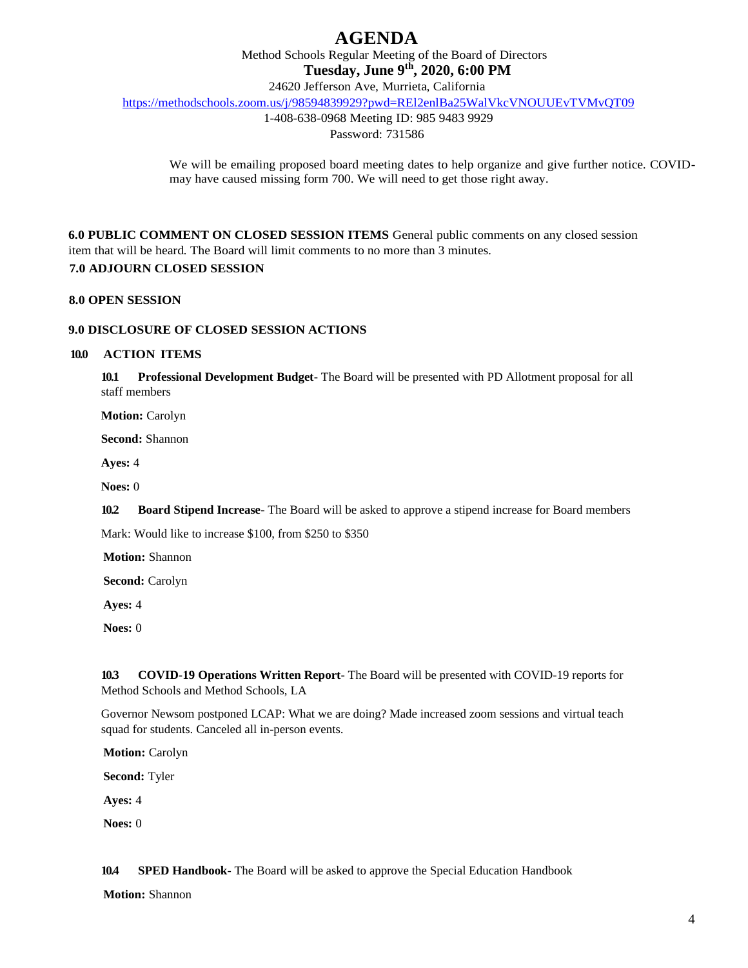Method Schools Regular Meeting of the Board of Directors

**Tuesday, June 9th, 2020, 6:00 PM**

24620 Jefferson Ave, Murrieta, California

<https://methodschools.zoom.us/j/98594839929?pwd=REl2enlBa25WalVkcVNOUUEvTVMvQT09>

1-408-638-0968 Meeting ID: 985 9483 9929

Password: 731586

We will be emailing proposed board meeting dates to help organize and give further notice. COVIDmay have caused missing form 700. We will need to get those right away.

**6.0 PUBLIC COMMENT ON CLOSED SESSION ITEMS** General public comments on any closed session item that will be heard. The Board will limit comments to no more than 3 minutes.

### **7.0 ADJOURN CLOSED SESSION**

#### **8.0 OPEN SESSION**

#### **9.0 DISCLOSURE OF CLOSED SESSION ACTIONS**

#### **10.0 ACTION ITEMS**

**10.1 Professional Development Budget-** The Board will be presented with PD Allotment proposal for all staff members

**Motion:** Carolyn

**Second:** Shannon

**Ayes:** 4

**Noes:** 0

**10.2 Board Stipend Increase**- The Board will be asked to approve a stipend increase for Board members

Mark: Would like to increase \$100, from \$250 to \$350

**Motion:** Shannon

**Second:** Carolyn

**Ayes:** 4

**Noes:** 0

**10.3 COVID-19 Operations Written Report-** The Board will be presented with COVID-19 reports for Method Schools and Method Schools, LA

Governor Newsom postponed LCAP: What we are doing? Made increased zoom sessions and virtual teach squad for students. Canceled all in-person events.

**Motion:** Carolyn

**Second:** Tyler

**Ayes:** 4

**Noes:** 0

**10.4 SPED Handbook**- The Board will be asked to approve the Special Education Handbook

**Motion:** Shannon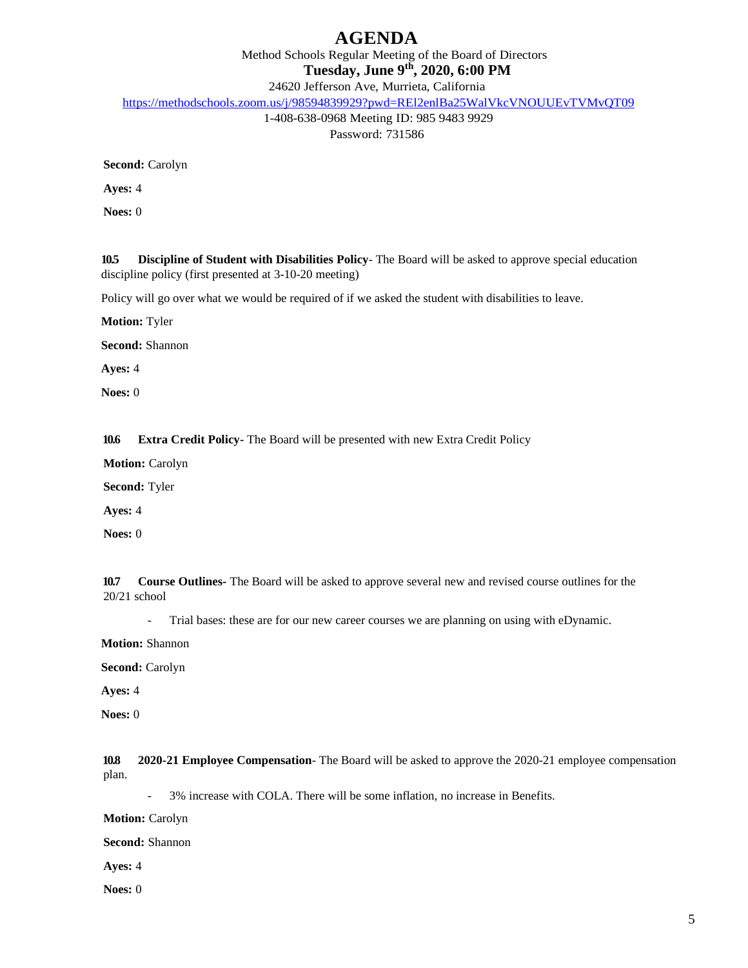Method Schools Regular Meeting of the Board of Directors

**Tuesday, June 9th, 2020, 6:00 PM**

24620 Jefferson Ave, Murrieta, California

<https://methodschools.zoom.us/j/98594839929?pwd=REl2enlBa25WalVkcVNOUUEvTVMvQT09>

1-408-638-0968 Meeting ID: 985 9483 9929 Password: 731586

**Second:** Carolyn

**Ayes:** 4

**Noes:** 0

**10.5 Discipline of Student with Disabilities Policy**- The Board will be asked to approve special education discipline policy (first presented at 3-10-20 meeting)

Policy will go over what we would be required of if we asked the student with disabilities to leave.

**Motion:** Tyler

**Second:** Shannon

**Ayes:** 4

**Noes:** 0

**10.6 Extra Credit Policy-** The Board will be presented with new Extra Credit Policy

**Motion:** Carolyn

**Second:** Tyler

**Ayes:** 4

**Noes:** 0

**10.7 Course Outlines-** The Board will be asked to approve several new and revised course outlines for the 20/21 school

- Trial bases: these are for our new career courses we are planning on using with eDynamic.

**Motion:** Shannon

**Second:** Carolyn

**Ayes:** 4

**Noes:** 0

**10.8 2020-21 Employee Compensation**- The Board will be asked to approve the 2020-21 employee compensation plan.

- 3% increase with COLA. There will be some inflation, no increase in Benefits.

**Motion:** Carolyn

**Second:** Shannon

**Ayes:** 4

**Noes:** 0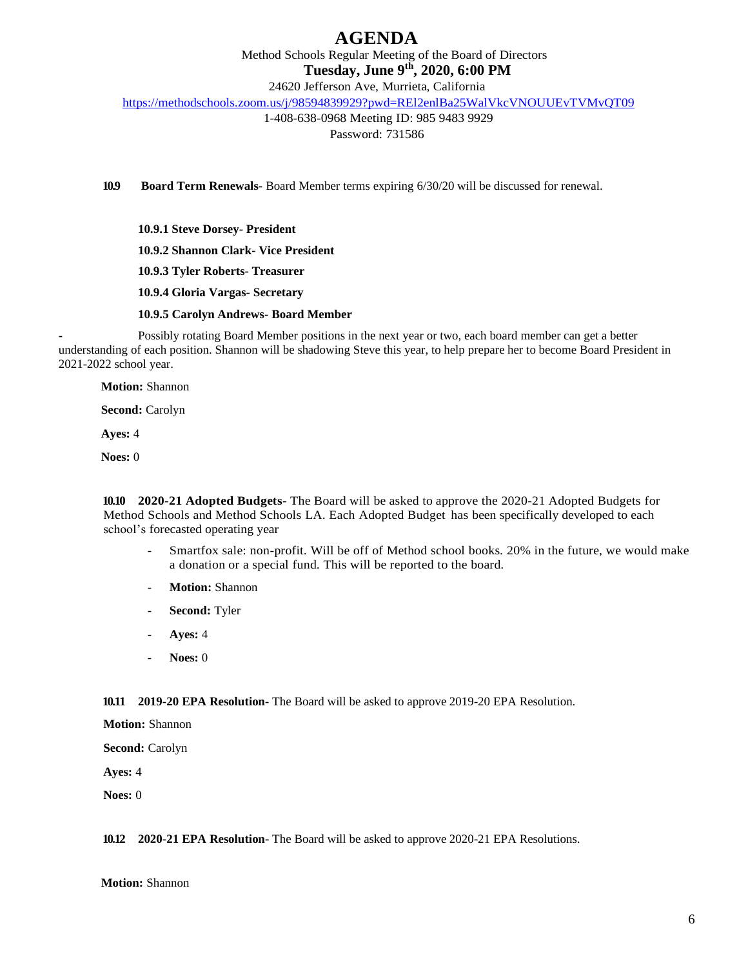Method Schools Regular Meeting of the Board of Directors

**Tuesday, June 9th, 2020, 6:00 PM**

24620 Jefferson Ave, Murrieta, California

<https://methodschools.zoom.us/j/98594839929?pwd=REl2enlBa25WalVkcVNOUUEvTVMvQT09>

1-408-638-0968 Meeting ID: 985 9483 9929 Password: 731586

**10.9 Board Term Renewals-** Board Member terms expiring 6/30/20 will be discussed for renewal.

**10.9.1 Steve Dorsey- President 10.9.2 Shannon Clark- Vice President 10.9.3 Tyler Roberts- Treasurer 10.9.4 Gloria Vargas- Secretary**

**10.9.5 Carolyn Andrews- Board Member**

**-** Possibly rotating Board Member positions in the next year or two, each board member can get a better understanding of each position. Shannon will be shadowing Steve this year, to help prepare her to become Board President in 2021-2022 school year.

**Motion:** Shannon

**Second:** Carolyn

**Ayes:** 4

**Noes:** 0

**10.10 2020-21 Adopted Budgets-** The Board will be asked to approve the 2020-21 Adopted Budgets for Method Schools and Method Schools LA. Each Adopted Budget has been specifically developed to each school's forecasted operating year

- Smartfox sale: non-profit. Will be off of Method school books. 20% in the future, we would make a donation or a special fund. This will be reported to the board.
- Motion: Shannon
- Second: Tyler
- **Ayes:** 4
- **Noes:** 0

**10.11 2019-20 EPA Resolution-** The Board will be asked to approve 2019-20 EPA Resolution.

**Motion:** Shannon

**Second:** Carolyn

**Ayes:** 4

**Noes:** 0

#### **10.12 2020-21 EPA Resolution-** The Board will be asked to approve 2020-21 EPA Resolutions.